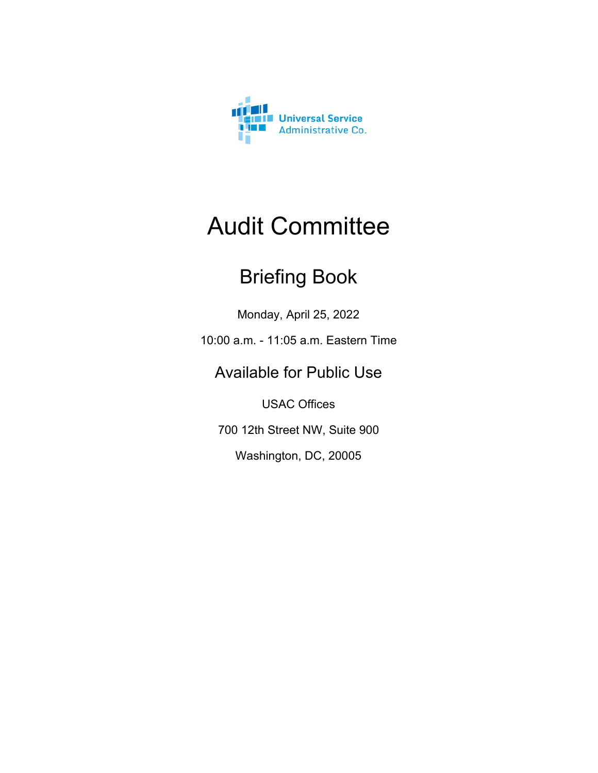

### Audit Committee

### Briefing Book

Monday, April 25, 2022

10:00 a.m. - 11:05 a.m. Eastern Time

### Available for Public Use

USAC Offices

700 12th Street NW, Suite 900

Washington, DC, 20005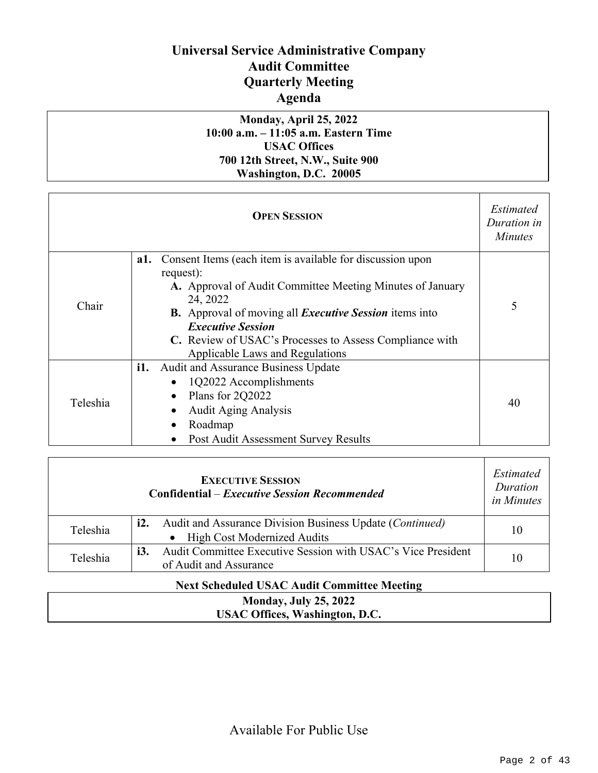### **Universal Service Administrative Company Audit Committee Quarterly Meeting Agenda**

#### **Monday, April 25, 2022 10:00 a.m. – 11:05 a.m. Eastern Time USAC Offices 700 12th Street, N.W., Suite 900 Washington, D.C. 20005**

| <b>OPEN SESSION</b> |                                                                                                                                                                                                                                                                                                                                                          | Estimated<br>Duration in<br><b>Minutes</b> |
|---------------------|----------------------------------------------------------------------------------------------------------------------------------------------------------------------------------------------------------------------------------------------------------------------------------------------------------------------------------------------------------|--------------------------------------------|
| Chair               | Consent Items (each item is available for discussion upon<br>a1.<br>request):<br>A. Approval of Audit Committee Meeting Minutes of January<br>24, 2022<br><b>B.</b> Approval of moving all <i>Executive Session</i> items into<br><b>Executive Session</b><br>C. Review of USAC's Processes to Assess Compliance with<br>Applicable Laws and Regulations | 5                                          |
| Teleshia            | Audit and Assurance Business Update<br>i1.<br>1Q2022 Accomplishments<br>Plans for 2Q2022<br><b>Audit Aging Analysis</b><br>Roadmap<br>Post Audit Assessment Survey Results                                                                                                                                                                               | 40                                         |

| <b>EXECUTIVE SESSION</b><br><b>Confidential – Executive Session Recommended</b> |                                                                                                                    |    |
|---------------------------------------------------------------------------------|--------------------------------------------------------------------------------------------------------------------|----|
| Teleshia                                                                        | <b>i2.</b> Audit and Assurance Division Business Update ( <i>Continued</i> )<br><b>High Cost Modernized Audits</b> | 10 |
| Teleshia                                                                        | Audit Committee Executive Session with USAC's Vice President<br><i>i3.</i><br>of Audit and Assurance               | 10 |

#### **Next Scheduled USAC Audit Committee Meeting**

#### **Monday, July 25, 2022 USAC Offices, Washington, D.C.**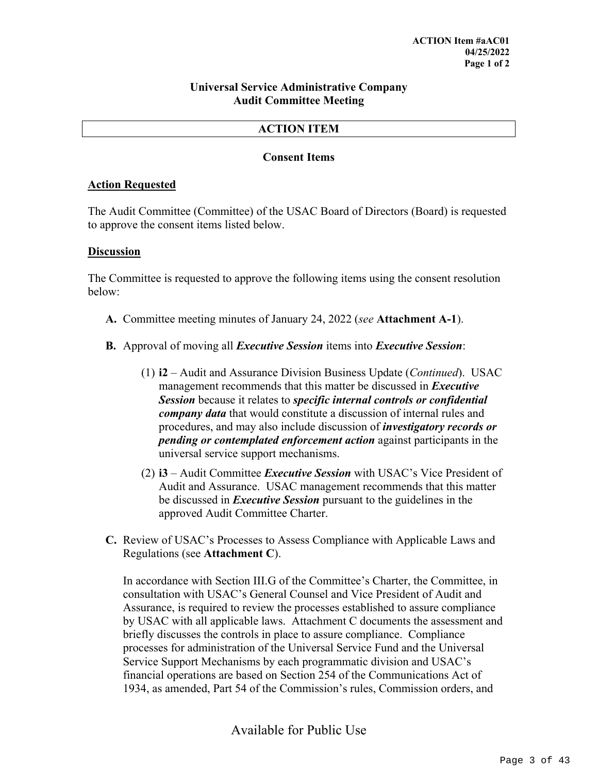#### **Universal Service Administrative Company Audit Committee Meeting**

#### **ACTION ITEM**

#### **Consent Items**

#### **Action Requested**

The Audit Committee (Committee) of the USAC Board of Directors (Board) is requested to approve the consent items listed below.

#### **Discussion**

The Committee is requested to approve the following items using the consent resolution below:

- **A.** Committee meeting minutes of January 24, 2022 (*see* **Attachment A-1**).
- **B.** Approval of moving all *Executive Session* items into *Executive Session*:
	- (1) **i2**  Audit and Assurance Division Business Update (*Continued*). USAC management recommends that this matter be discussed in *Executive Session* because it relates to *specific internal controls or confidential company data* that would constitute a discussion of internal rules and procedures, and may also include discussion of *investigatory records or pending or contemplated enforcement action* against participants in the universal service support mechanisms.
	- (2) **i3** Audit Committee *Executive Session* with USAC's Vice President of Audit and Assurance. USAC management recommends that this matter be discussed in *Executive Session* pursuant to the guidelines in the approved Audit Committee Charter.
- **C.** Review of USAC's Processes to Assess Compliance with Applicable Laws and Regulations (see **Attachment C**).

In accordance with Section III.G of the Committee's Charter, the Committee, in consultation with USAC's General Counsel and Vice President of Audit and Assurance, is required to review the processes established to assure compliance by USAC with all applicable laws. Attachment C documents the assessment and briefly discusses the controls in place to assure compliance. Compliance processes for administration of the Universal Service Fund and the Universal Service Support Mechanisms by each programmatic division and USAC's financial operations are based on Section 254 of the Communications Act of 1934, as amended, Part 54 of the Commission's rules, Commission orders, and

Available for Public Use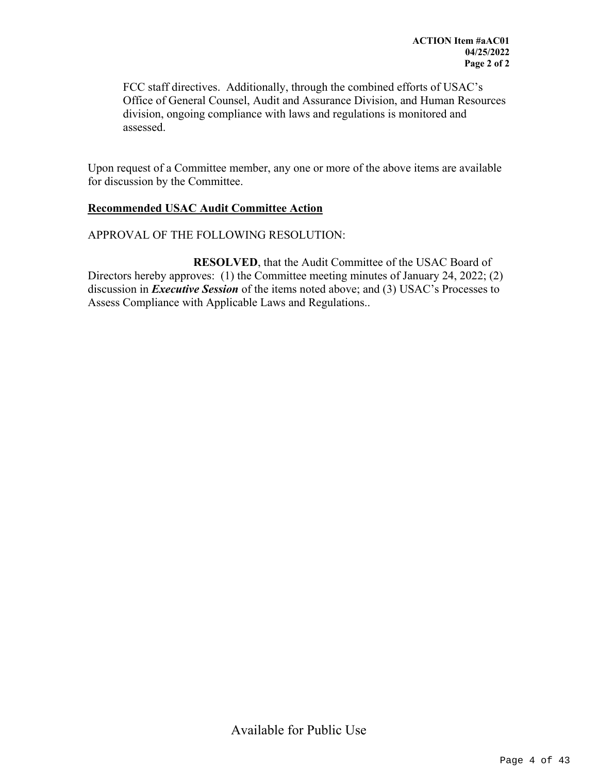FCC staff directives. Additionally, through the combined efforts of USAC's Office of General Counsel, Audit and Assurance Division, and Human Resources division, ongoing compliance with laws and regulations is monitored and assessed.

Upon request of a Committee member, any one or more of the above items are available for discussion by the Committee.

#### **Recommended USAC Audit Committee Action**

#### APPROVAL OF THE FOLLOWING RESOLUTION:

**RESOLVED**, that the Audit Committee of the USAC Board of Directors hereby approves: (1) the Committee meeting minutes of January 24, 2022; (2) discussion in *Executive Session* of the items noted above; and (3) USAC's Processes to Assess Compliance with Applicable Laws and Regulations..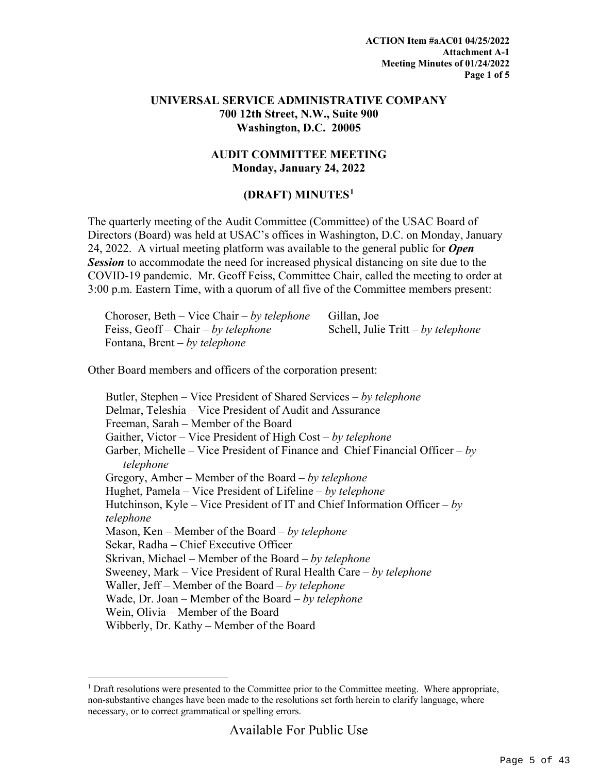#### **UNIVERSAL SERVICE ADMINISTRATIVE COMPANY 700 12th Street, N.W., Suite 900 Washington, D.C. 20005**

#### **AUDIT COMMITTEE MEETING Monday, January 24, 2022**

#### **(DRAFT) MINUTES[1](#page-4-0)**

The quarterly meeting of the Audit Committee (Committee) of the USAC Board of Directors (Board) was held at USAC's offices in Washington, D.C. on Monday, January 24, 2022. A virtual meeting platform was available to the general public for *Open*  **Session** to accommodate the need for increased physical distancing on site due to the COVID-19 pandemic. Mr. Geoff Feiss, Committee Chair, called the meeting to order at 3:00 p.m. Eastern Time, with a quorum of all five of the Committee members present:

| Choroser, Beth – Vice Chair – by telephone | Gillan, Joe                        |
|--------------------------------------------|------------------------------------|
| Feiss, Geoff – Chair – by telephone        | Schell, Julie Tritt – by telephone |
| Fontana, Brent – by telephone              |                                    |

Other Board members and officers of the corporation present:

Butler, Stephen – Vice President of Shared Services – *by telephone* Delmar, Teleshia – Vice President of Audit and Assurance Freeman, Sarah – Member of the Board Gaither, Victor – Vice President of High Cost – *by telephone* Garber, Michelle – Vice President of Finance and Chief Financial Officer – *by telephone* Gregory, Amber – Member of the Board – *by telephone* Hughet, Pamela – Vice President of Lifeline – *by telephone* Hutchinson, Kyle – Vice President of IT and Chief Information Officer – *by telephone* Mason, Ken – Member of the Board – *by telephone* Sekar, Radha – Chief Executive Officer Skrivan, Michael – Member of the Board – *by telephone* Sweeney, Mark – Vice President of Rural Health Care – *by telephone* Waller, Jeff – Member of the Board – *by telephone* Wade, Dr. Joan – Member of the Board – *by telephone* Wein, Olivia – Member of the Board Wibberly, Dr. Kathy – Member of the Board

<span id="page-4-0"></span><sup>&</sup>lt;sup>1</sup> Draft resolutions were presented to the Committee prior to the Committee meeting. Where appropriate, non-substantive changes have been made to the resolutions set forth herein to clarify language, where necessary, or to correct grammatical or spelling errors.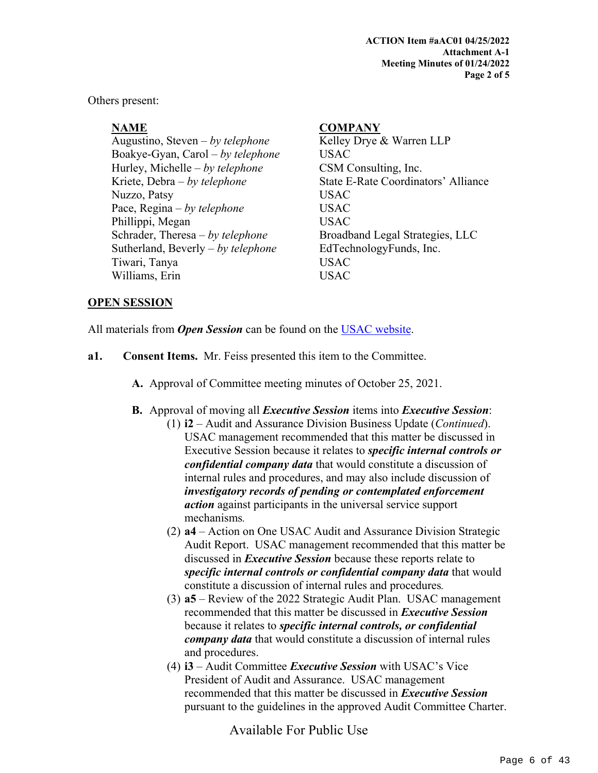Others present:

Augustino, Steven – *by telephone* Kelley Drye & Warren LLP Boakye-Gyan, Carol – *by telephone* USAC Hurley, Michelle – *by telephone* CSM Consulting, Inc. Kriete, Debra – *by telephone* State E-Rate Coordinators' Alliance Nuzzo, Patsy USAC Pace, Regina – *by telephone* USAC Phillippi, Megan USAC Schrader, Theresa – *by telephone* Broadband Legal Strategies, LLC Sutherland, Beverly – *by telephone* EdTechnologyFunds, Inc. Tiwari, Tanya USAC Williams, Erin USAC

#### **NAME COMPANY**

#### **OPEN SESSION**

All materials from *Open Session* can be found on the [USAC website.](https://www.usac.org/about/leadership/board-materials/)

- **a1. Consent Items.** Mr. Feiss presented this item to the Committee.
	- **A.** Approval of Committee meeting minutes of October 25, 2021.
	- **B.** Approval of moving all *Executive Session* items into *Executive Session*:
		- (1) **i2**  Audit and Assurance Division Business Update (*Continued*). USAC management recommended that this matter be discussed in Executive Session because it relates to *specific internal controls or confidential company data* that would constitute a discussion of internal rules and procedures, and may also include discussion of *investigatory records of pending or contemplated enforcement action* against participants in the universal service support mechanisms*.*
		- (2) **a4** Action on One USAC Audit and Assurance Division Strategic Audit Report. USAC management recommended that this matter be discussed in *Executive Session* because these reports relate to *specific internal controls or confidential company data* that would constitute a discussion of internal rules and procedures*.*
		- (3) **a5** Review of the 2022 Strategic Audit Plan. USAC management recommended that this matter be discussed in *Executive Session* because it relates to *specific internal controls, or confidential company data* that would constitute a discussion of internal rules and procedures.
		- (4) **i3** Audit Committee *Executive Session* with USAC's Vice President of Audit and Assurance. USAC management recommended that this matter be discussed in *Executive Session* pursuant to the guidelines in the approved Audit Committee Charter.

Available For Public Use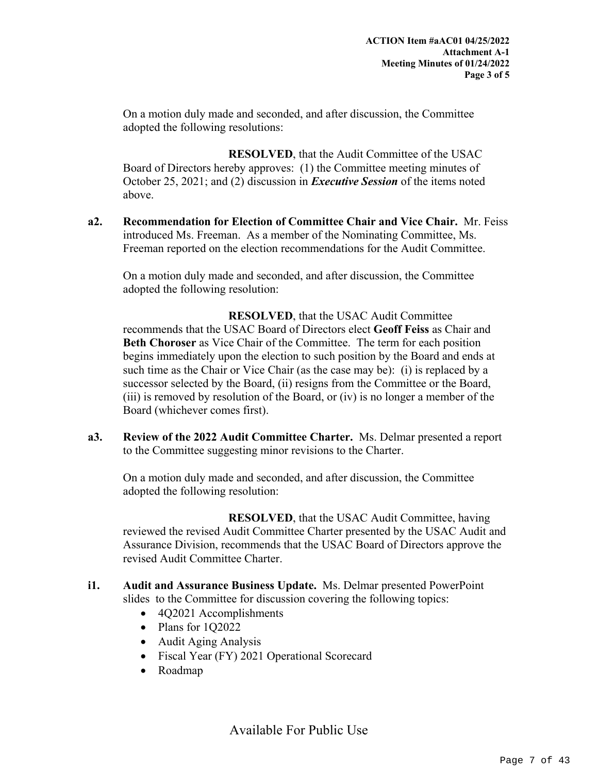On a motion duly made and seconded, and after discussion, the Committee adopted the following resolutions:

**RESOLVED**, that the Audit Committee of the USAC Board of Directors hereby approves: (1) the Committee meeting minutes of October 25, 2021; and (2) discussion in *Executive Session* of the items noted above.

**a2. Recommendation for Election of Committee Chair and Vice Chair.** Mr. Feiss introduced Ms. Freeman. As a member of the Nominating Committee, Ms. Freeman reported on the election recommendations for the Audit Committee.

On a motion duly made and seconded, and after discussion, the Committee adopted the following resolution:

**RESOLVED**, that the USAC Audit Committee recommends that the USAC Board of Directors elect **Geoff Feiss** as Chair and **Beth Choroser** as Vice Chair of the Committee. The term for each position begins immediately upon the election to such position by the Board and ends at such time as the Chair or Vice Chair (as the case may be): (i) is replaced by a successor selected by the Board, (ii) resigns from the Committee or the Board, (iii) is removed by resolution of the Board, or (iv) is no longer a member of the Board (whichever comes first).

**a3. Review of the 2022 Audit Committee Charter.** Ms. Delmar presented a report to the Committee suggesting minor revisions to the Charter.

On a motion duly made and seconded, and after discussion, the Committee adopted the following resolution:

**RESOLVED**, that the USAC Audit Committee, having reviewed the revised Audit Committee Charter presented by the USAC Audit and Assurance Division, recommends that the USAC Board of Directors approve the revised Audit Committee Charter.

- **i1. Audit and Assurance Business Update.** Ms. Delmar presented PowerPoint slides to the Committee for discussion covering the following topics:
	- 4Q2021 Accomplishments
	- Plans for 1Q2022
	- Audit Aging Analysis
	- Fiscal Year (FY) 2021 Operational Scorecard
	- Roadmap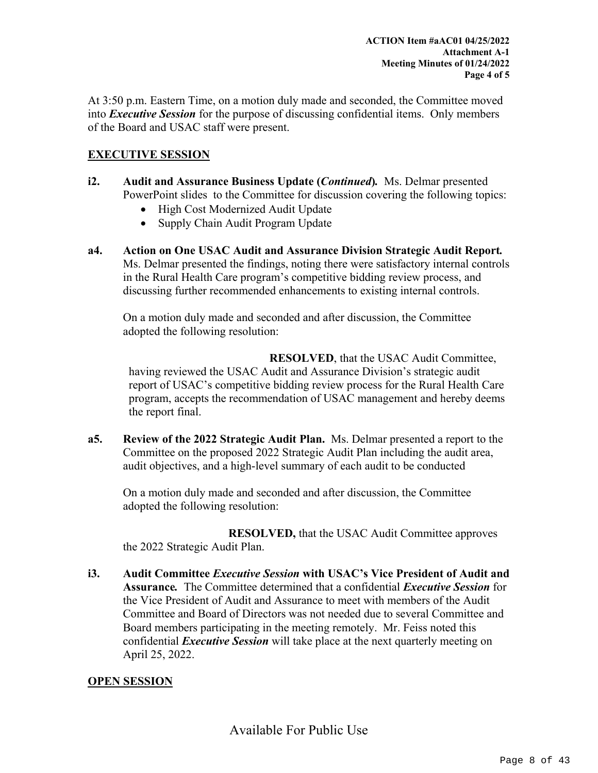At 3:50 p.m. Eastern Time, on a motion duly made and seconded, the Committee moved into *Executive Session* for the purpose of discussing confidential items. Only members of the Board and USAC staff were present.

#### **EXECUTIVE SESSION**

- **i2. Audit and Assurance Business Update (***Continued***)***.*Ms. Delmar presented PowerPoint slides to the Committee for discussion covering the following topics:
	- High Cost Modernized Audit Update
	- Supply Chain Audit Program Update
- **a4. Action on One USAC Audit and Assurance Division Strategic Audit Report***.* Ms. Delmar presented the findings, noting there were satisfactory internal controls in the Rural Health Care program's competitive bidding review process, and discussing further recommended enhancements to existing internal controls.

On a motion duly made and seconded and after discussion, the Committee adopted the following resolution:

**RESOLVED**, that the USAC Audit Committee, having reviewed the USAC Audit and Assurance Division's strategic audit report of USAC's competitive bidding review process for the Rural Health Care program, accepts the recommendation of USAC management and hereby deems the report final.

**a5. Review of the 2022 Strategic Audit Plan.** Ms. Delmar presented a report to the Committee on the proposed 2022 Strategic Audit Plan including the audit area, audit objectives, and a high-level summary of each audit to be conducted

On a motion duly made and seconded and after discussion, the Committee adopted the following resolution:

**RESOLVED,** that the USAC Audit Committee approves the 2022 Strategic Audit Plan.

**i3. Audit Committee** *Executive Session* **with USAC's Vice President of Audit and Assurance***.*The Committee determined that a confidential *Executive Session* for the Vice President of Audit and Assurance to meet with members of the Audit Committee and Board of Directors was not needed due to several Committee and Board members participating in the meeting remotely. Mr. Feiss noted this confidential *Executive Session* will take place at the next quarterly meeting on April 25, 2022.

#### **OPEN SESSION**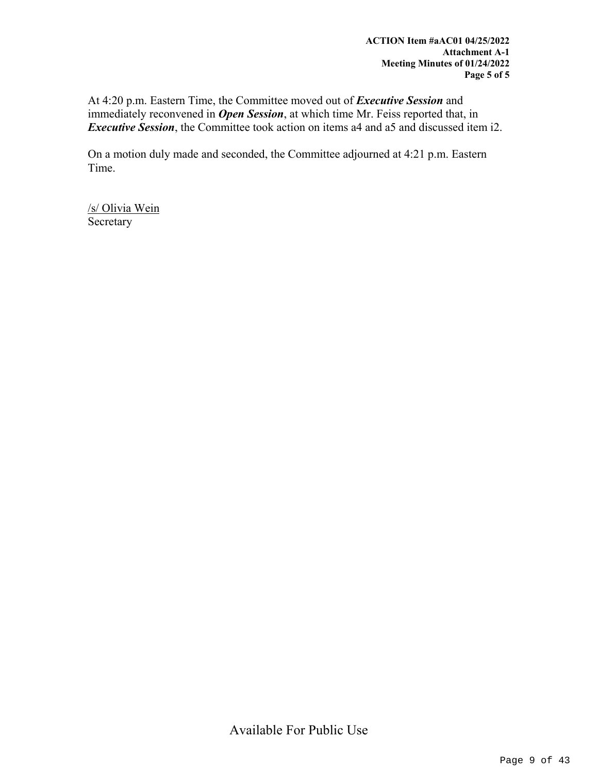At 4:20 p.m. Eastern Time, the Committee moved out of *Executive Session* and immediately reconvened in *Open Session*, at which time Mr. Feiss reported that, in *Executive Session*, the Committee took action on items a4 and a5 and discussed item i2.

On a motion duly made and seconded, the Committee adjourned at 4:21 p.m. Eastern Time.

/s/ Olivia Wein Secretary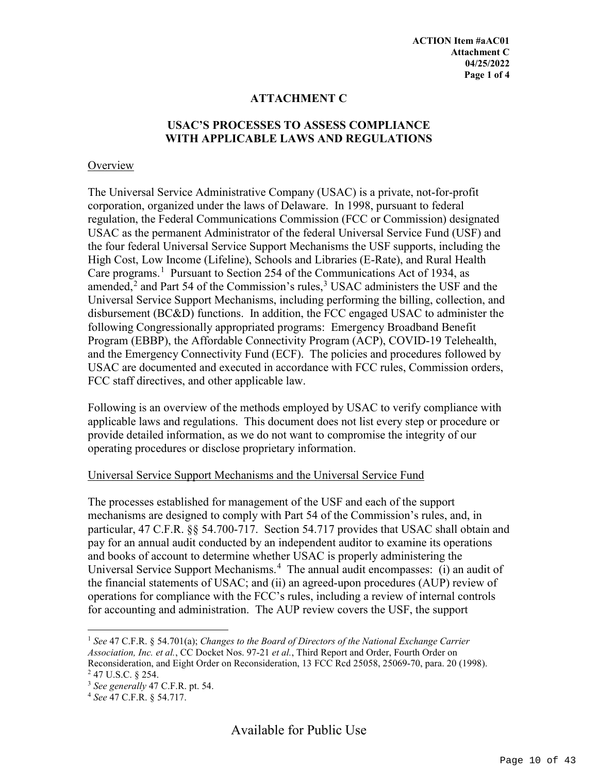#### **ATTACHMENT C**

### **USAC'S PROCESSES TO ASSESS COMPLIANCE WITH APPLICABLE LAWS AND REGULATIONS**

#### **Overview**

The Universal Service Administrative Company (USAC) is a private, not-for-profit corporation, organized under the laws of Delaware. In 1998, pursuant to federal regulation, the Federal Communications Commission (FCC or Commission) designated USAC as the permanent Administrator of the federal Universal Service Fund (USF) and the four federal Universal Service Support Mechanisms the USF supports, including the High Cost, Low Income (Lifeline), Schools and Libraries (E-Rate), and Rural Health Care programs.<sup>[1](#page-9-0)</sup> Pursuant to Section 254 of the Communications Act of 1934, as amended, $2$  and Part 54 of the Commission's rules, $3$  USAC administers the USF and the Universal Service Support Mechanisms, including performing the billing, collection, and disbursement (BC&D) functions. In addition, the FCC engaged USAC to administer the following Congressionally appropriated programs: Emergency Broadband Benefit Program (EBBP), the Affordable Connectivity Program (ACP), COVID-19 Telehealth, and the Emergency Connectivity Fund (ECF). The policies and procedures followed by USAC are documented and executed in accordance with FCC rules, Commission orders, FCC staff directives, and other applicable law.

Following is an overview of the methods employed by USAC to verify compliance with applicable laws and regulations. This document does not list every step or procedure or provide detailed information, as we do not want to compromise the integrity of our operating procedures or disclose proprietary information.

#### Universal Service Support Mechanisms and the Universal Service Fund

The processes established for management of the USF and each of the support mechanisms are designed to comply with Part 54 of the Commission's rules, and, in particular, 47 C.F.R. §§ 54.700-717. Section 54.717 provides that USAC shall obtain and pay for an annual audit conducted by an independent auditor to examine its operations and books of account to determine whether USAC is properly administering the Universal Service Support Mechanisms.<sup>[4](#page-9-3)</sup> The annual audit encompasses: (i) an audit of the financial statements of USAC; and (ii) an agreed-upon procedures (AUP) review of operations for compliance with the FCC's rules, including a review of internal controls for accounting and administration. The AUP review covers the USF, the support

<span id="page-9-0"></span> <sup>1</sup> *See* 47 C.F.R. § 54.701(a); *Changes to the Board of Directors of the National Exchange Carrier Association, Inc. et al.*, CC Docket Nos. 97-21 *et al.*, Third Report and Order, Fourth Order on Reconsideration, and Eight Order on Reconsideration, 13 FCC Rcd 25058, 25069-70, para. 20 (1998).

<span id="page-9-1"></span><sup>2</sup> 47 U.S.C. § 254.

<span id="page-9-2"></span><sup>3</sup> *See generally* 47 C.F.R. pt. 54.

<span id="page-9-3"></span><sup>4</sup> *See* 47 C.F.R. § 54.717.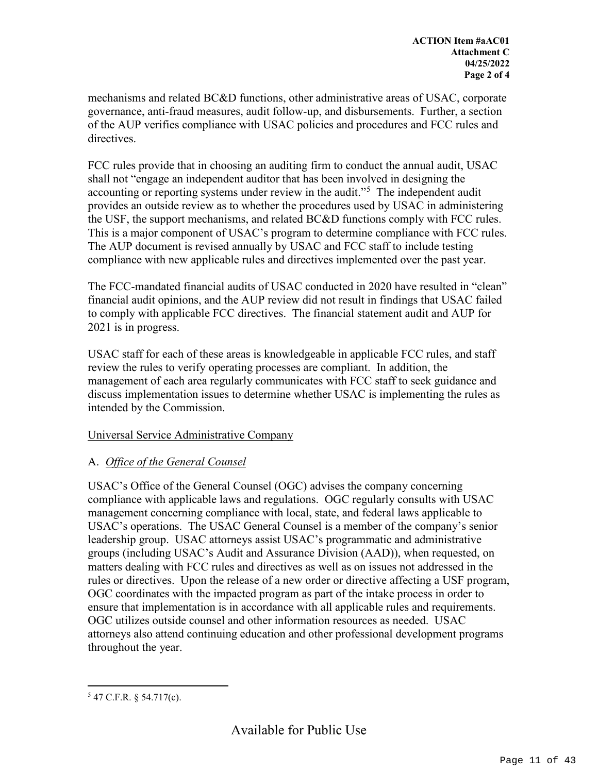mechanisms and related BC&D functions, other administrative areas of USAC, corporate governance, anti-fraud measures, audit follow-up, and disbursements. Further, a section of the AUP verifies compliance with USAC policies and procedures and FCC rules and directives.

FCC rules provide that in choosing an auditing firm to conduct the annual audit, USAC shall not "engage an independent auditor that has been involved in designing the accounting or reporting systems under review in the audit.<sup>"[5](#page-10-0)</sup> The independent audit provides an outside review as to whether the procedures used by USAC in administering the USF, the support mechanisms, and related BC&D functions comply with FCC rules. This is a major component of USAC's program to determine compliance with FCC rules. The AUP document is revised annually by USAC and FCC staff to include testing compliance with new applicable rules and directives implemented over the past year.

The FCC-mandated financial audits of USAC conducted in 2020 have resulted in "clean" financial audit opinions, and the AUP review did not result in findings that USAC failed to comply with applicable FCC directives. The financial statement audit and AUP for 2021 is in progress.

USAC staff for each of these areas is knowledgeable in applicable FCC rules, and staff review the rules to verify operating processes are compliant. In addition, the management of each area regularly communicates with FCC staff to seek guidance and discuss implementation issues to determine whether USAC is implementing the rules as intended by the Commission.

#### Universal Service Administrative Company

### A. *Office of the General Counsel*

USAC's Office of the General Counsel (OGC) advises the company concerning compliance with applicable laws and regulations. OGC regularly consults with USAC management concerning compliance with local, state, and federal laws applicable to USAC's operations. The USAC General Counsel is a member of the company's senior leadership group. USAC attorneys assist USAC's programmatic and administrative groups (including USAC's Audit and Assurance Division (AAD)), when requested, on matters dealing with FCC rules and directives as well as on issues not addressed in the rules or directives. Upon the release of a new order or directive affecting a USF program, OGC coordinates with the impacted program as part of the intake process in order to ensure that implementation is in accordance with all applicable rules and requirements. OGC utilizes outside counsel and other information resources as needed. USAC attorneys also attend continuing education and other professional development programs throughout the year.

<span id="page-10-0"></span> $547$  C.F.R. § 54.717(c).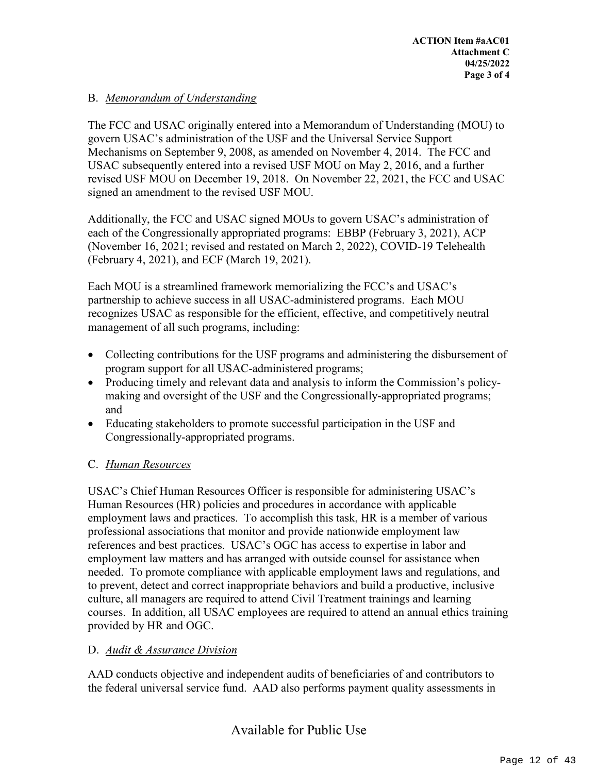### B. *Memorandum of Understanding*

The FCC and USAC originally entered into a Memorandum of Understanding (MOU) to govern USAC's administration of the USF and the Universal Service Support Mechanisms on September 9, 2008, as amended on November 4, 2014. The FCC and USAC subsequently entered into a revised USF MOU on May 2, 2016, and a further revised USF MOU on December 19, 2018. On November 22, 2021, the FCC and USAC signed an amendment to the revised USF MOU.

Additionally, the FCC and USAC signed MOUs to govern USAC's administration of each of the Congressionally appropriated programs: EBBP (February 3, 2021), ACP (November 16, 2021; revised and restated on March 2, 2022), COVID-19 Telehealth (February 4, 2021), and ECF (March 19, 2021).

Each MOU is a streamlined framework memorializing the FCC's and USAC's partnership to achieve success in all USAC-administered programs. Each MOU recognizes USAC as responsible for the efficient, effective, and competitively neutral management of all such programs, including:

- Collecting contributions for the USF programs and administering the disbursement of program support for all USAC-administered programs;
- Producing timely and relevant data and analysis to inform the Commission's policymaking and oversight of the USF and the Congressionally-appropriated programs; and
- Educating stakeholders to promote successful participation in the USF and Congressionally-appropriated programs.

#### C. *Human Resources*

USAC's Chief Human Resources Officer is responsible for administering USAC's Human Resources (HR) policies and procedures in accordance with applicable employment laws and practices. To accomplish this task, HR is a member of various professional associations that monitor and provide nationwide employment law references and best practices. USAC's OGC has access to expertise in labor and employment law matters and has arranged with outside counsel for assistance when needed. To promote compliance with applicable employment laws and regulations, and to prevent, detect and correct inappropriate behaviors and build a productive, inclusive culture, all managers are required to attend Civil Treatment trainings and learning courses. In addition, all USAC employees are required to attend an annual ethics training provided by HR and OGC.

#### D. *Audit & Assurance Division*

AAD conducts objective and independent audits of beneficiaries of and contributors to the federal universal service fund. AAD also performs payment quality assessments in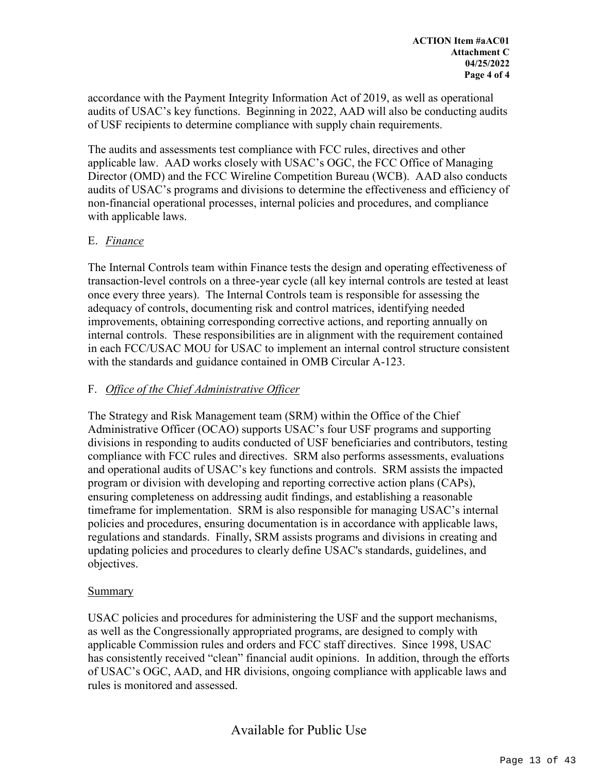accordance with the Payment Integrity Information Act of 2019, as well as operational audits of USAC's key functions. Beginning in 2022, AAD will also be conducting audits of USF recipients to determine compliance with supply chain requirements.

The audits and assessments test compliance with FCC rules, directives and other applicable law. AAD works closely with USAC's OGC, the FCC Office of Managing Director (OMD) and the FCC Wireline Competition Bureau (WCB). AAD also conducts audits of USAC's programs and divisions to determine the effectiveness and efficiency of non-financial operational processes, internal policies and procedures, and compliance with applicable laws.

#### E. *Finance*

The Internal Controls team within Finance tests the design and operating effectiveness of transaction-level controls on a three-year cycle (all key internal controls are tested at least once every three years). The Internal Controls team is responsible for assessing the adequacy of controls, documenting risk and control matrices, identifying needed improvements, obtaining corresponding corrective actions, and reporting annually on internal controls. These responsibilities are in alignment with the requirement contained in each FCC/USAC MOU for USAC to implement an internal control structure consistent with the standards and guidance contained in OMB Circular A-123.

#### F. *Office of the Chief Administrative Officer*

The Strategy and Risk Management team (SRM) within the Office of the Chief Administrative Officer (OCAO) supports USAC's four USF programs and supporting divisions in responding to audits conducted of USF beneficiaries and contributors, testing compliance with FCC rules and directives. SRM also performs assessments, evaluations and operational audits of USAC's key functions and controls. SRM assists the impacted program or division with developing and reporting corrective action plans (CAPs), ensuring completeness on addressing audit findings, and establishing a reasonable timeframe for implementation. SRM is also responsible for managing USAC's internal policies and procedures, ensuring documentation is in accordance with applicable laws, regulations and standards. Finally, SRM assists programs and divisions in creating and updating policies and procedures to clearly define USAC's standards, guidelines, and objectives.

#### Summary

USAC policies and procedures for administering the USF and the support mechanisms, as well as the Congressionally appropriated programs, are designed to comply with applicable Commission rules and orders and FCC staff directives. Since 1998, USAC has consistently received "clean" financial audit opinions. In addition, through the efforts of USAC's OGC, AAD, and HR divisions, ongoing compliance with applicable laws and rules is monitored and assessed.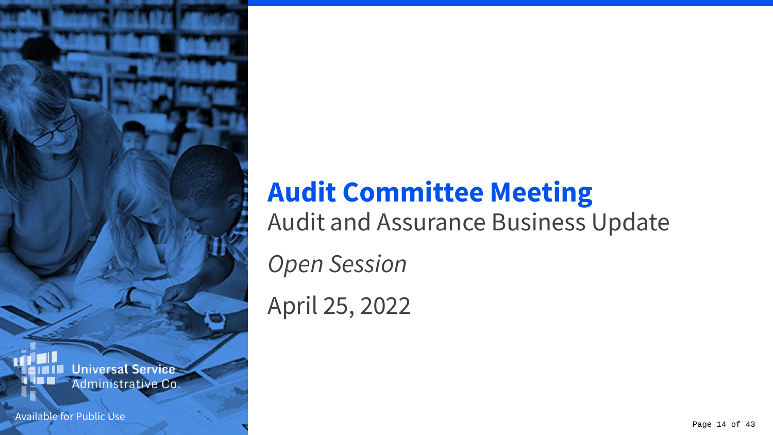### **Universal Service** Administrative Co.

Available for Public Use

# **Audit Committee Meeting**

Audit and Assurance Business Update

*Open Session*

April 25, 2022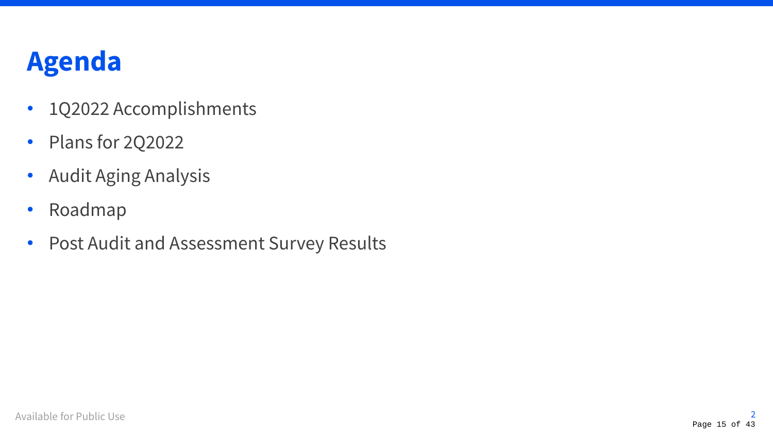## **Agenda**

- 1Q2022 Accomplishments
- Plans for 2Q2022
- Audit Aging Analysis
- Roadmap
- Post Audit and Assessment Survey Results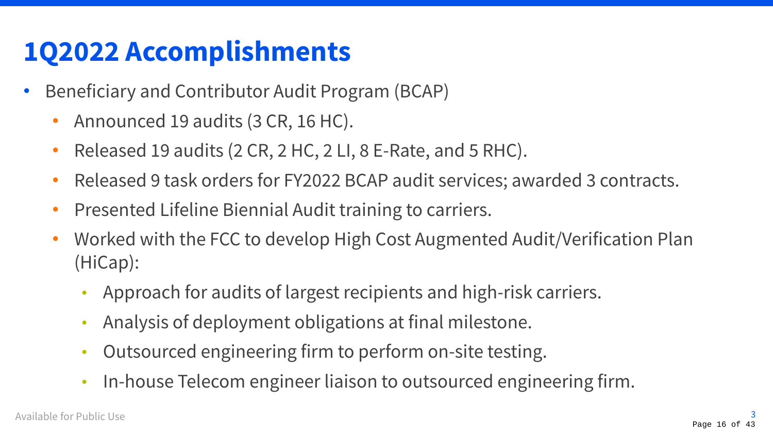### **1Q2022 Accomplishments**

- Beneficiary and Contributor Audit Program (BCAP)
	- Announced 19 audits (3 CR, 16 HC).
	- Released 19 audits (2 CR, 2 HC, 2 LI, 8 E-Rate, and 5 RHC).
	- Released 9 task orders for FY2022 BCAP audit services; awarded 3 contracts.
	- Presented Lifeline Biennial Audit training to carriers.
	- Worked with the FCC to develop High Cost Augmented Audit/Verification Plan (HiCap):
		- Approach for audits of largest recipients and high-risk carriers.
		- Analysis of deployment obligations at final milestone.
		- Outsourced engineering firm to perform on-site testing.
		- In-house Telecom engineer liaison to outsourced engineering firm.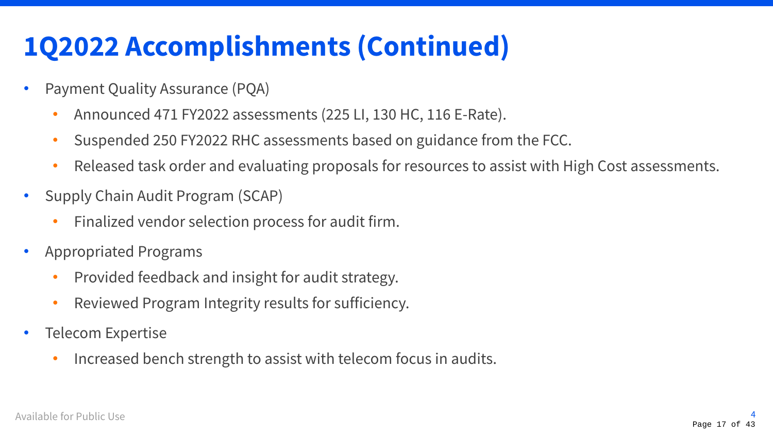## **1Q2022 Accomplishments (Continued)**

- Payment Quality Assurance (PQA)
	- Announced 471 FY2022 assessments (225 LI, 130 HC, 116 E-Rate).
	- Suspended 250 FY2022 RHC assessments based on guidance from the FCC.
	- Released task order and evaluating proposals for resources to assist with High Cost assessments.
- Supply Chain Audit Program (SCAP)
	- Finalized vendor selection process for audit firm.
- Appropriated Programs
	- Provided feedback and insight for audit strategy.
	- Reviewed Program Integrity results for sufficiency.
- Telecom Expertise
	- Increased bench strength to assist with telecom focus in audits.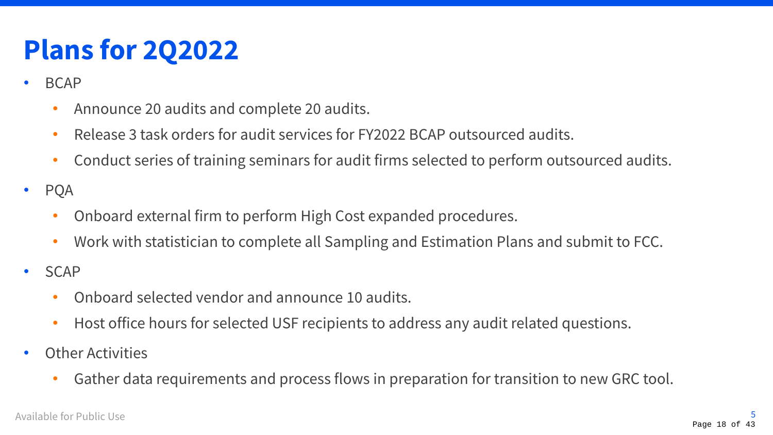## **Plans for 2Q2022**

- BCAP
	- Announce 20 audits and complete 20 audits.
	- Release 3 task orders for audit services for FY2022 BCAP outsourced audits.
	- Conduct series of training seminars for audit firms selected to perform outsourced audits.
- PQA
	- Onboard external firm to perform High Cost expanded procedures.
	- Work with statistician to complete all Sampling and Estimation Plans and submit to FCC.
- SCAP
	- Onboard selected vendor and announce 10 audits.
	- Host office hours for selected USF recipients to address any audit related questions.
- Other Activities
	- Gather data requirements and process flows in preparation for transition to new GRC tool.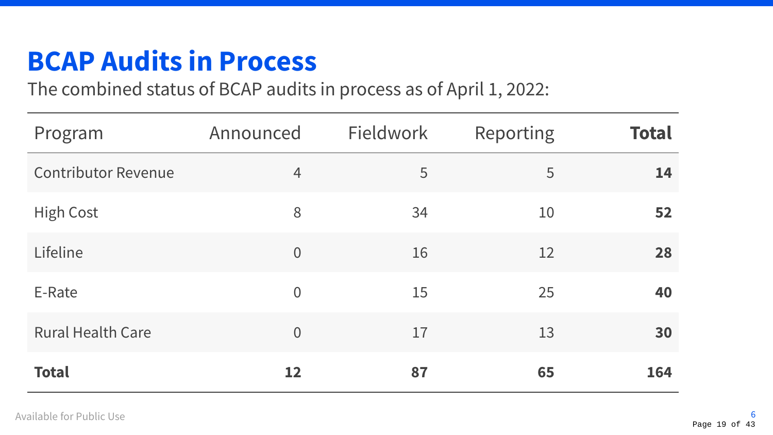## **BCAP Audits in Process**

The combined status of BCAP audits in process as of April 1, 2022:

| Program                    | Announced      | <b>Fieldwork</b> | Reporting | <b>Total</b> |
|----------------------------|----------------|------------------|-----------|--------------|
| <b>Contributor Revenue</b> | $\overline{4}$ | 5                | 5         | 14           |
| <b>High Cost</b>           | 8              | 34               | 10        | 52           |
| Lifeline                   | $\overline{0}$ | 16               | 12        | 28           |
| E-Rate                     | $\overline{0}$ | 15               | 25        | 40           |
| <b>Rural Health Care</b>   | $\overline{0}$ | 17               | 13        | 30           |
| <b>Total</b>               | 12             | 87               | 65        | 164          |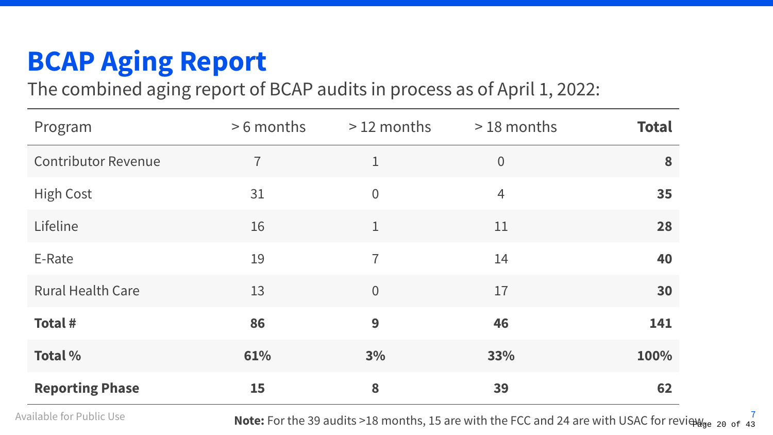## **BCAP Aging Report**

The combined aging report of BCAP audits in process as of April 1, 2022:

| Program                    | >6 months      | $>12$ months   | $>18$ months   | <b>Total</b> |
|----------------------------|----------------|----------------|----------------|--------------|
| <b>Contributor Revenue</b> | $\overline{1}$ | $\mathbf 1$    | $\overline{0}$ | 8            |
| <b>High Cost</b>           | 31             | $\overline{0}$ | $\overline{4}$ | 35           |
| Lifeline                   | 16             | $\mathbf{1}$   | 11             | 28           |
| E-Rate                     | 19             | $\overline{1}$ | 14             | 40           |
| <b>Rural Health Care</b>   | 13             | $\overline{0}$ | 17             | 30           |
| <b>Total#</b>              | 86             | 9              | 46             | 141          |
| <b>Total %</b>             | 61%            | 3%             | 33%            | 100%         |
| <b>Reporting Phase</b>     | <b>15</b>      | 8              | 39             | 62           |

Available for Public Use **7 Note:** For the 39 audits >18 months, 15 are with the FCC and 24 are with USAC for review. <sup>7</sup>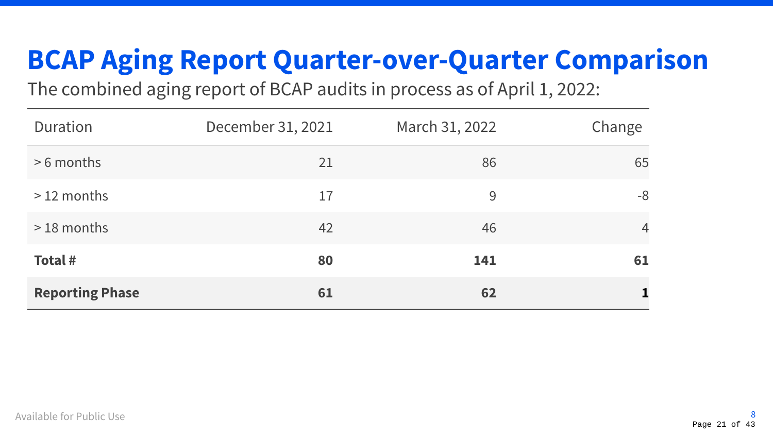## **BCAP Aging Report Quarter-over-Quarter Comparison**

The combined aging report of BCAP audits in process as of April 1, 2022:

| Duration               | December 31, 2021 | March 31, 2022 | Change         |
|------------------------|-------------------|----------------|----------------|
| $> 6$ months           | 21                | 86             | 65             |
| $>12$ months           | 17                | 9              | -8             |
| $>18$ months           | 42                | 46             | $\overline{4}$ |
| Total #                | 80                | 141            | 61             |
| <b>Reporting Phase</b> | 61                | 62             |                |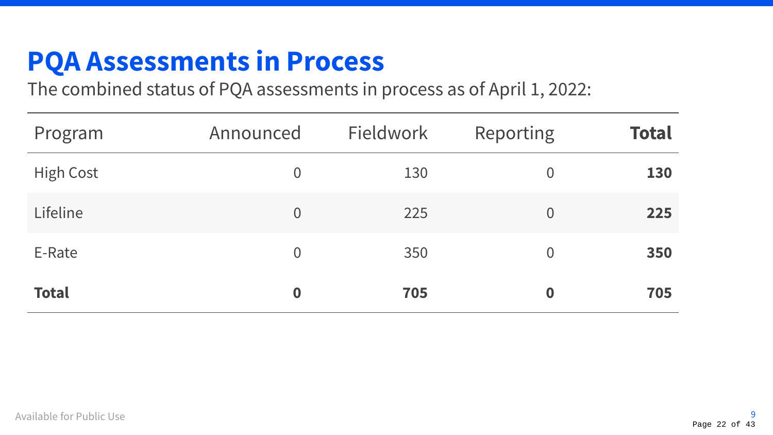### **PQA Assessments in Process**

The combined status of PQA assessments in process as of April 1, 2022:

| Program          | Announced        | Fieldwork | Reporting      | <b>Total</b> |
|------------------|------------------|-----------|----------------|--------------|
| <b>High Cost</b> | $\overline{0}$   | 130       | $\overline{0}$ | 130          |
| Lifeline         | $\overline{0}$   | 225       | $\overline{0}$ | 225          |
| E-Rate           | $\overline{0}$   | 350       | $\overline{0}$ | 350          |
| <b>Total</b>     | $\boldsymbol{0}$ | 705       | $\bf{0}$       | 705          |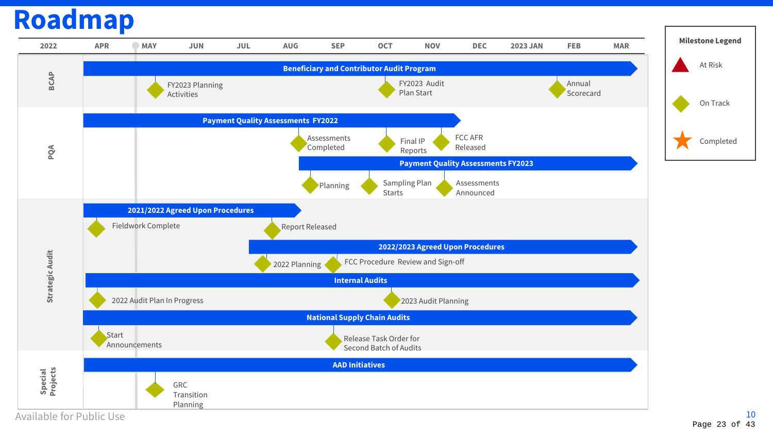### **Roadmap**

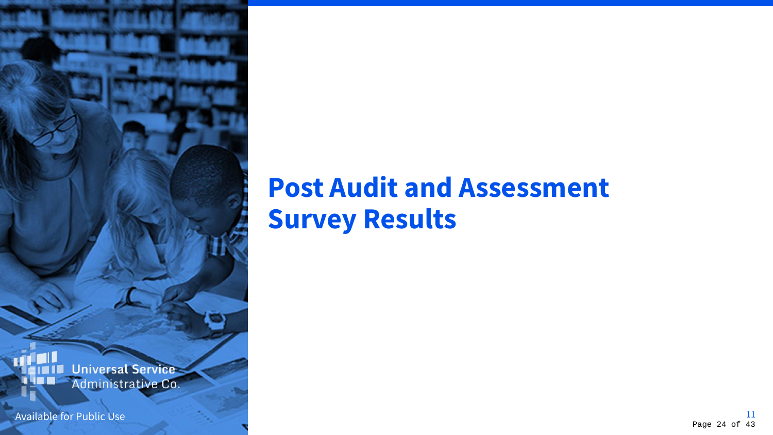# **Post Audit and Assessment Survey Results**

**Universal Service** Administrative Co.

Available for Public Use 211 and 22 and 22 and 22 and 23 and 23 and 23 and 24 and 25 and 26 and 26 and 26 and 26 and 26 and 26 and 26 and 26 and 26 and 26 and 26 and 26 and 26 and 26 and 26 and 26 and 26 and 26 and 26 and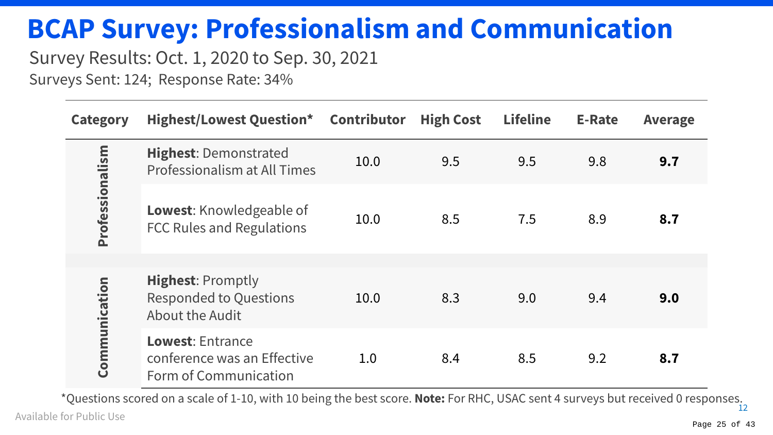## **BCAP Survey: Professionalism and Communication**

### Survey Results: Oct. 1, 2020 to Sep. 30, 2021

Surveys Sent: 124; Response Rate: 34%

| <b>Category</b> | <b>Highest/Lowest Question* Contributor</b>                                     |      | <b>High Cost</b> | <b>Lifeline</b> | <b>E-Rate</b> | <b>Average</b> |
|-----------------|---------------------------------------------------------------------------------|------|------------------|-----------------|---------------|----------------|
|                 | <b>Highest: Demonstrated</b><br>Professionalism at All Times                    | 10.0 | 9.5              | 9.5             | 9.8           | 9.7            |
| Professionalism | <b>Lowest:</b> Knowledgeable of<br><b>FCC Rules and Regulations</b>             | 10.0 | 8.5              | 7.5             | 8.9           | 8.7            |
| Communication   | <b>Highest: Promptly</b><br><b>Responded to Questions</b><br>About the Audit    | 10.0 | 8.3              | 9.0             | 9.4           | 9.0            |
|                 | <b>Lowest: Entrance</b><br>conference was an Effective<br>Form of Communication | 1.0  | 8.4              | 8.5             | 9.2           | 8.7            |

Available for Public Use 12 \*Questions scored on a scale of 1-10, with 10 being the best score. **Note:** For RHC, USAC sent 4 surveys but received 0 responses.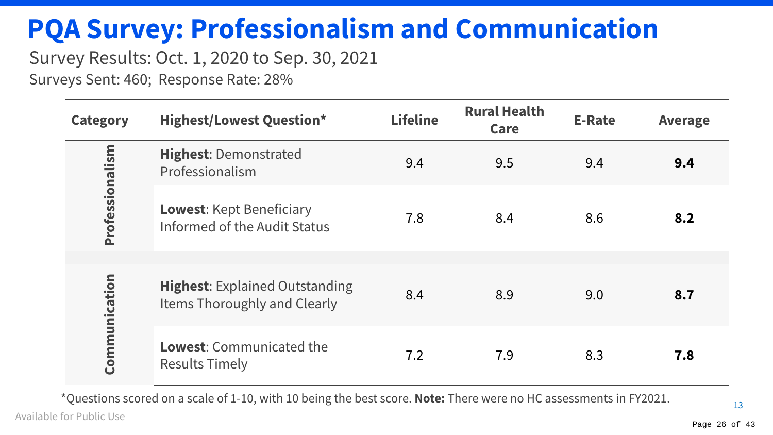## **PQA Survey: Professionalism and Communication**

### Survey Results: Oct. 1, 2020 to Sep. 30, 2021

Surveys Sent: 460; Response Rate: 28%

| <b>Category</b> | <b>Highest/Lowest Question*</b>                                              | <b>Lifeline</b> | <b>Rural Health</b><br>Care | <b>E-Rate</b> | <b>Average</b> |
|-----------------|------------------------------------------------------------------------------|-----------------|-----------------------------|---------------|----------------|
| Professionalism | <b>Highest: Demonstrated</b><br>Professionalism                              | 9.4             | 9.5                         | 9.4           | 9.4            |
|                 | <b>Lowest:</b> Kept Beneficiary<br>Informed of the Audit Status              | 7.8             | 8.4                         | 8.6           | 8.2            |
|                 |                                                                              |                 |                             |               |                |
| Communication   | <b>Highest: Explained Outstanding</b><br><b>Items Thoroughly and Clearly</b> | 8.4             | 8.9                         | 9.0           | 8.7            |
|                 | <b>Lowest:</b> Communicated the<br><b>Results Timely</b>                     | 7.2             | 7.9                         | 8.3           | 7.8            |

\*Questions scored on a scale of 1-10, with 10 being the best score. **Note:** There were no HC assessments in FY2021.

Available for Public Use

13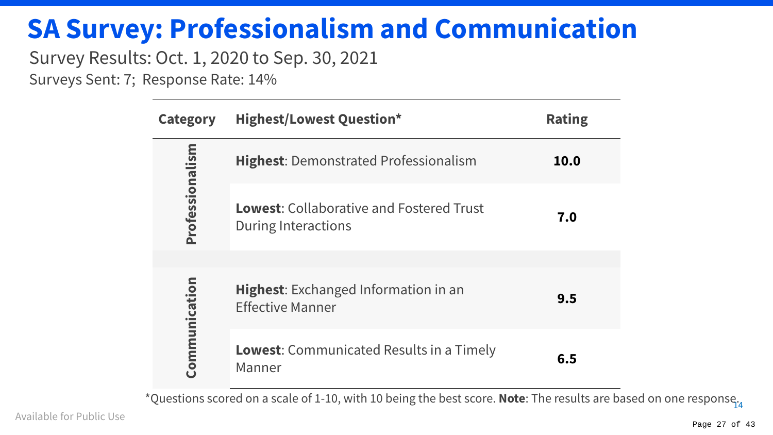### **SA Survey: Professionalism and Communication**

### Survey Results: Oct. 1, 2020 to Sep. 30, 2021

Surveys Sent: 7; Response Rate: 14%

| <b>Category</b> | <b>Highest/Lowest Question*</b>                                        | <b>Rating</b> |
|-----------------|------------------------------------------------------------------------|---------------|
| Professionalism | <b>Highest:</b> Demonstrated Professionalism                           | 10.0          |
|                 | <b>Lowest:</b> Collaborative and Fostered Trust<br>During Interactions | 7.0           |
|                 |                                                                        |               |
| Communication   | <b>Highest:</b> Exchanged Information in an<br><b>Effective Manner</b> | 9.5           |
|                 | <b>Lowest:</b> Communicated Results in a Timely<br>Manner              | 6.5           |

14 \*Questions scored on a scale of 1-10, with 10 being the best score. **Note**: The results are based on one response.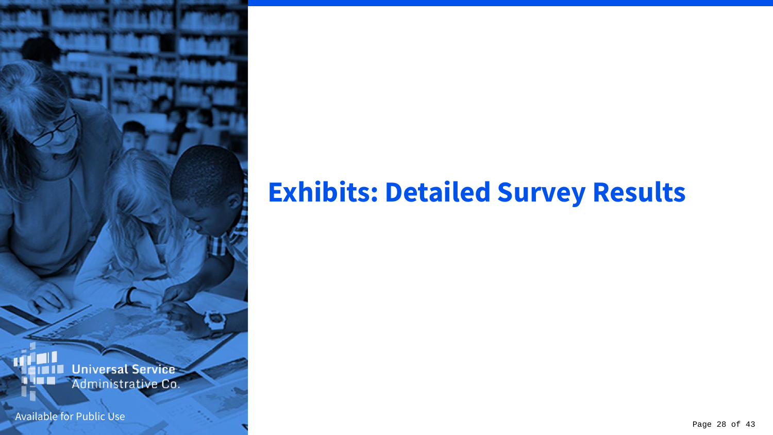## **Exhibits: Detailed Survey Results**

Universal Service<br>Administrative Co.

Available for Public Use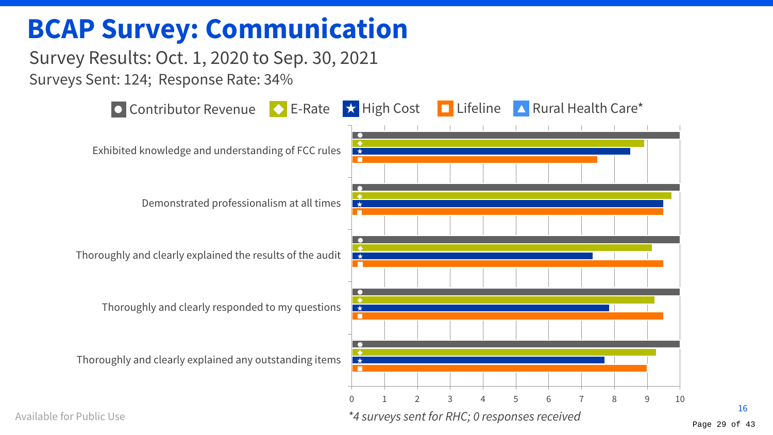### **BCAP Survey: Communication**

Survey Results: Oct. 1, 2020 to Sep. 30, 2021 Surveys Sent: 124; Response Rate: 34%



Available for Public Use

16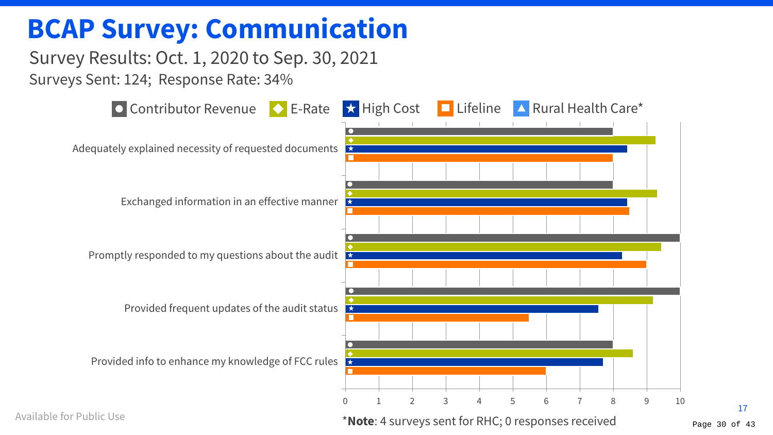### **BCAP Survey: Communication**

### Survey Results: Oct. 1, 2020 to Sep. 30, 2021 Surveys Sent: 124; Response Rate: 34%



Page 30 of 43

17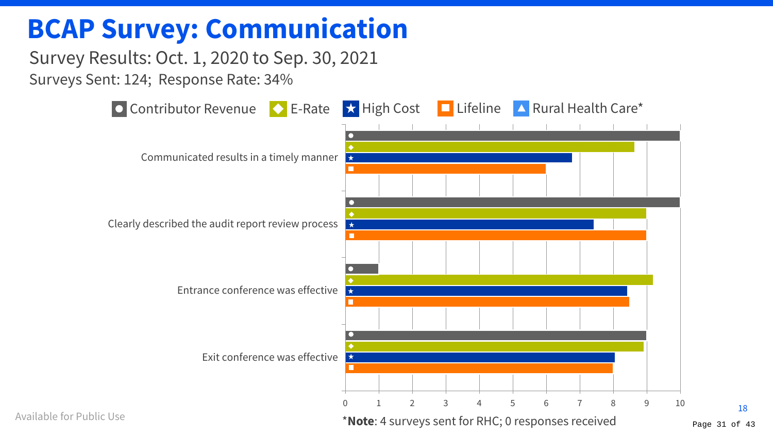### **BCAP Survey: Communication**

### Survey Results: Oct. 1, 2020 to Sep. 30, 2021 Surveys Sent: 124; Response Rate: 34%



Available for Public Use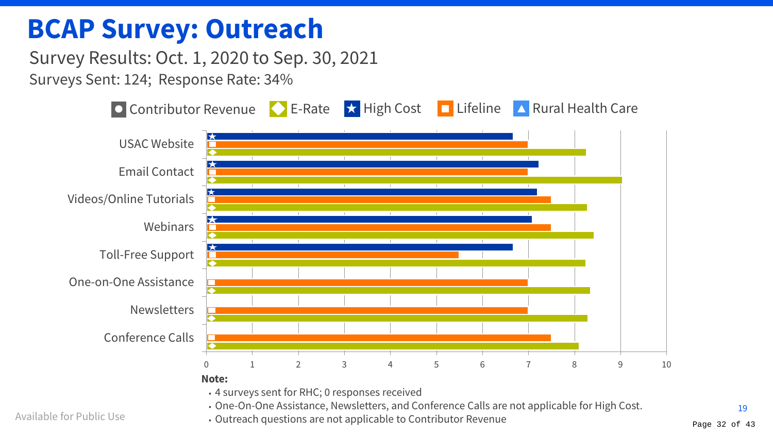### **BCAP Survey: Outreach**

Survey Results: Oct. 1, 2020 to Sep. 30, 2021 Surveys Sent: 124; Response Rate: 34%



• One-On-One Assistance, Newsletters, and Conference Calls are not applicable for High Cost.

• Outreach questions are not applicable to Contributor Revenue  $P_{\text{Page 32 of 43}}$ 

Available for Public Use

19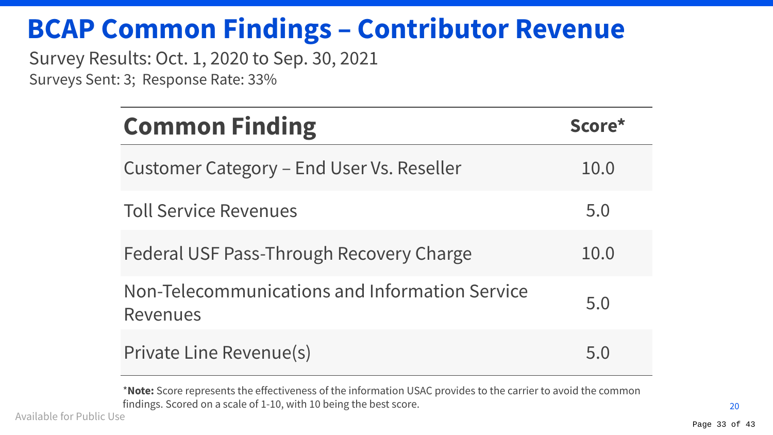## **BCAP Common Findings – Contributor Revenue**

Survey Results: Oct. 1, 2020 to Sep. 30, 2021

Surveys Sent: 3; Response Rate: 33%

| <b>Common Finding</b>                                             | Score* |
|-------------------------------------------------------------------|--------|
| Customer Category – End User Vs. Reseller                         | 10.0   |
| <b>Toll Service Revenues</b>                                      | 5.0    |
| Federal USF Pass-Through Recovery Charge                          | 10.0   |
| Non-Telecommunications and Information Service<br><b>Revenues</b> | 5.0    |
| Private Line Revenue(s)                                           | 5 Q    |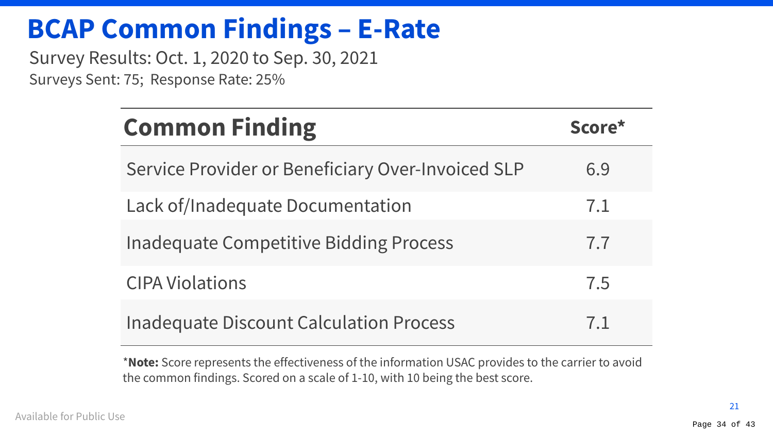### **BCAP Common Findings – E-Rate**

Survey Results: Oct. 1, 2020 to Sep. 30, 2021 Surveys Sent: 75; Response Rate: 25%

| <b>Common Finding</b>                             | Score* |
|---------------------------------------------------|--------|
| Service Provider or Beneficiary Over-Invoiced SLP | 6.9    |
| Lack of/Inadequate Documentation                  | 7.1    |
| <b>Inadequate Competitive Bidding Process</b>     | 7.7    |
| <b>CIPA Violations</b>                            | 7.5    |
| <b>Inadequate Discount Calculation Process</b>    | 7.1    |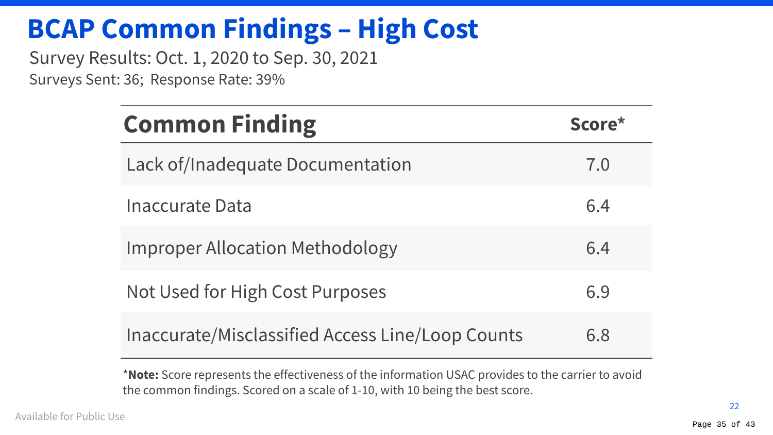## **BCAP Common Findings – High Cost**

Survey Results: Oct. 1, 2020 to Sep. 30, 2021 Surveys Sent: 36; Response Rate: 39%

| <b>Common Finding</b>                            | Score* |
|--------------------------------------------------|--------|
| Lack of/Inadequate Documentation                 | 7.0    |
| Inaccurate Data                                  | 6.4    |
| <b>Improper Allocation Methodology</b>           | 6.4    |
| Not Used for High Cost Purposes                  | 6.9    |
| Inaccurate/Misclassified Access Line/Loop Counts | 6.8    |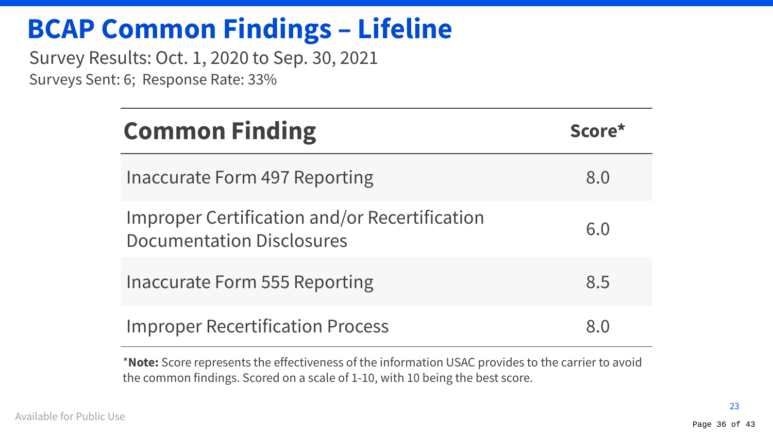## **BCAP Common Findings – Lifeline**

Survey Results: Oct. 1, 2020 to Sep. 30, 2021 Surveys Sent: 6; Response Rate: 33%

| <b>Common Finding</b>                                                                    | Score* |
|------------------------------------------------------------------------------------------|--------|
| Inaccurate Form 497 Reporting                                                            | 8.0    |
| <b>Improper Certification and/or Recertification</b><br><b>Documentation Disclosures</b> | 6.0    |
| Inaccurate Form 555 Reporting                                                            | 8.5    |
| <b>Improper Recertification Process</b>                                                  |        |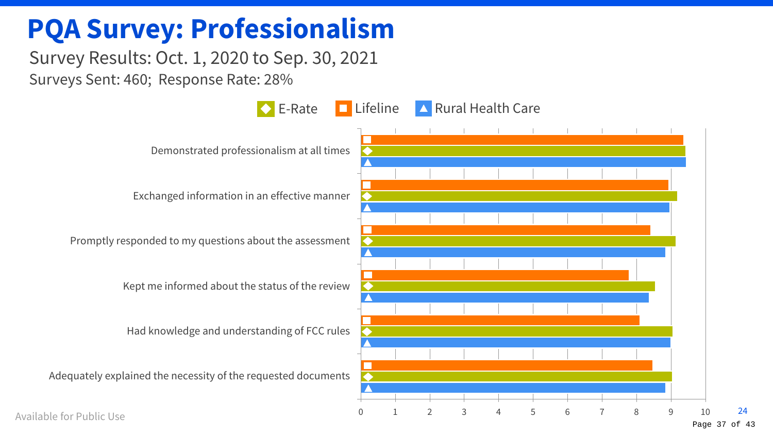### **PQA Survey: Professionalism**

### Survey Results: Oct. 1, 2020 to Sep. 30, 2021 Surveys Sent: 460; Response Rate: 28%



Page 37 of 43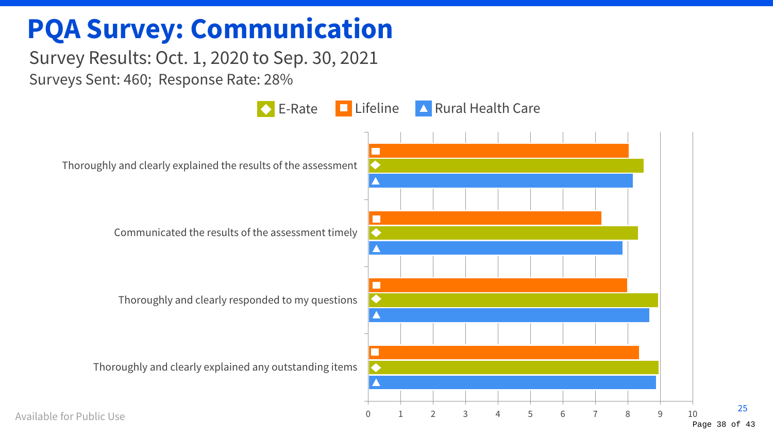### **PQA Survey: Communication**

### Survey Results: Oct. 1, 2020 to Sep. 30, 2021 Surveys Sent: 460; Response Rate: 28%

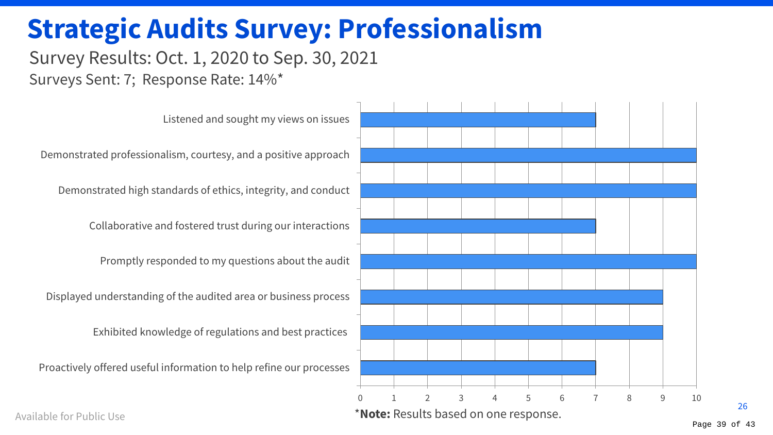### **Strategic Audits Survey: Professionalism**

### Survey Results: Oct. 1, 2020 to Sep. 30, 2021 Surveys Sent: 7; Response Rate: 14%\*



Available for Public Use

26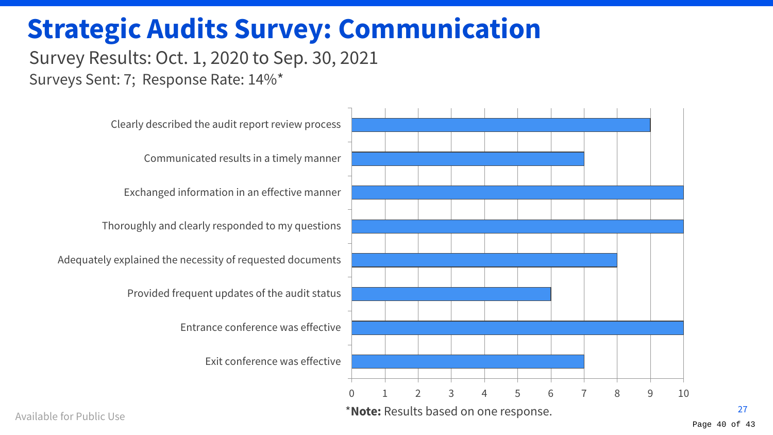### **Strategic Audits Survey: Communication**

### Survey Results: Oct. 1, 2020 to Sep. 30, 2021 Surveys Sent: 7; Response Rate: 14%\*

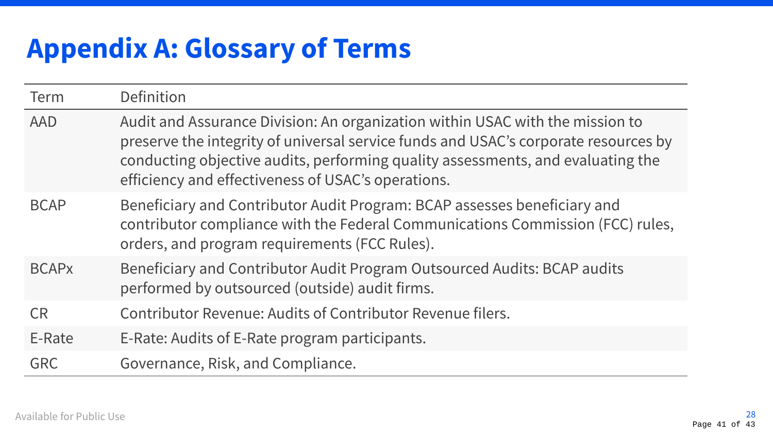## **Appendix A: Glossary of Terms**

| Term                    | Definition                                                                                                                                                                                                                                                                                                    |
|-------------------------|---------------------------------------------------------------------------------------------------------------------------------------------------------------------------------------------------------------------------------------------------------------------------------------------------------------|
| <b>AAD</b>              | Audit and Assurance Division: An organization within USAC with the mission to<br>preserve the integrity of universal service funds and USAC's corporate resources by<br>conducting objective audits, performing quality assessments, and evaluating the<br>efficiency and effectiveness of USAC's operations. |
| <b>BCAP</b>             | Beneficiary and Contributor Audit Program: BCAP assesses beneficiary and<br>contributor compliance with the Federal Communications Commission (FCC) rules,<br>orders, and program requirements (FCC Rules).                                                                                                   |
| <b>BCAP<sub>x</sub></b> | Beneficiary and Contributor Audit Program Outsourced Audits: BCAP audits<br>performed by outsourced (outside) audit firms.                                                                                                                                                                                    |
| <b>CR</b>               | Contributor Revenue: Audits of Contributor Revenue filers.                                                                                                                                                                                                                                                    |
| E-Rate                  | E-Rate: Audits of E-Rate program participants.                                                                                                                                                                                                                                                                |
| <b>GRC</b>              | Governance, Risk, and Compliance.                                                                                                                                                                                                                                                                             |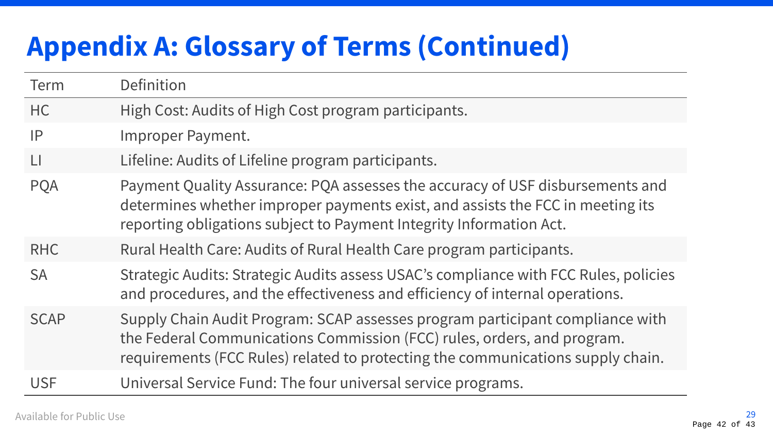## **Appendix A: Glossary of Terms (Continued)**

| <b>Term</b>  | Definition                                                                                                                                                                                                                                  |
|--------------|---------------------------------------------------------------------------------------------------------------------------------------------------------------------------------------------------------------------------------------------|
| HC           | High Cost: Audits of High Cost program participants.                                                                                                                                                                                        |
| IP           | Improper Payment.                                                                                                                                                                                                                           |
| $\mathsf{L}$ | Lifeline: Audits of Lifeline program participants.                                                                                                                                                                                          |
| <b>PQA</b>   | Payment Quality Assurance: PQA assesses the accuracy of USF disbursements and<br>determines whether improper payments exist, and assists the FCC in meeting its<br>reporting obligations subject to Payment Integrity Information Act.      |
| <b>RHC</b>   | Rural Health Care: Audits of Rural Health Care program participants.                                                                                                                                                                        |
| <b>SA</b>    | Strategic Audits: Strategic Audits assess USAC's compliance with FCC Rules, policies<br>and procedures, and the effectiveness and efficiency of internal operations.                                                                        |
| <b>SCAP</b>  | Supply Chain Audit Program: SCAP assesses program participant compliance with<br>the Federal Communications Commission (FCC) rules, orders, and program.<br>requirements (FCC Rules) related to protecting the communications supply chain. |
| <b>USF</b>   | Universal Service Fund: The four universal service programs.                                                                                                                                                                                |